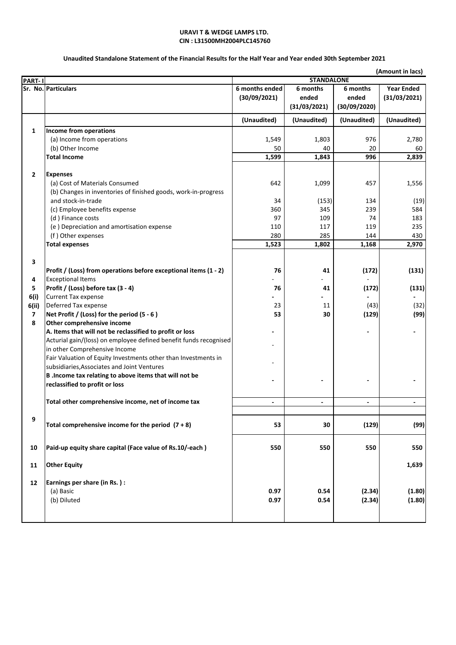#### **URAVI T & WEDGE LAMPS LTD. CIN : L31500MH2004PLC145760**

## **Unaudited Standalone Statement of the Financial Results for the Half Year and Year ended 30th September 2021**

|                         |                                                                   | (Amount in lacs)         |                   |                          |                          |
|-------------------------|-------------------------------------------------------------------|--------------------------|-------------------|--------------------------|--------------------------|
| PART-1                  |                                                                   |                          | <b>STANDALONE</b> |                          |                          |
|                         | Sr. No. Particulars                                               | 6 months ended           | 6 months          | 6 months                 | <b>Year Ended</b>        |
|                         |                                                                   | (30/09/2021)             | ended             | ended                    | (31/03/2021)             |
|                         |                                                                   |                          | (31/03/2021)      | (30/09/2020)             |                          |
|                         |                                                                   | (Unaudited)              | (Unaudited)       | (Unaudited)              | (Unaudited)              |
| 1                       | Income from operations                                            |                          |                   |                          |                          |
|                         | (a) Income from operations                                        | 1,549                    | 1,803             | 976                      | 2,780                    |
|                         | (b) Other Income                                                  | 50                       | 40                | 20                       | 60                       |
|                         | <b>Total Income</b>                                               | 1,599                    | 1,843             | 996                      | 2,839                    |
| $\overline{2}$          | <b>Expenses</b>                                                   |                          |                   |                          |                          |
|                         | (a) Cost of Materials Consumed                                    | 642                      | 1,099             | 457                      | 1,556                    |
|                         | (b) Changes in inventories of finished goods, work-in-progress    |                          |                   |                          |                          |
|                         | and stock-in-trade                                                | 34                       | (153)             | 134                      | (19)                     |
|                         | (c) Employee benefits expense                                     | 360                      | 345               | 239                      | 584                      |
|                         | (d) Finance costs                                                 | 97                       | 109               | 74                       | 183                      |
|                         | (e) Depreciation and amortisation expense                         | 110                      | 117               | 119                      | 235                      |
|                         | (f) Other expenses                                                | 280                      | 285               | 144                      | 430                      |
|                         | <b>Total expenses</b>                                             | 1,523                    | 1,802             | 1,168                    | 2,970                    |
|                         |                                                                   |                          |                   |                          |                          |
| 3                       |                                                                   |                          |                   |                          |                          |
|                         | Profit / (Loss) from operations before exceptional items (1 - 2)  | 76                       | 41                | (172)                    | (131)                    |
| 4                       | <b>Exceptional Items</b>                                          |                          |                   |                          |                          |
| 5                       | Profit / (Loss) before tax (3 - 4)                                | 76                       | 41                | (172)                    | (131)                    |
| 6(i)                    | <b>Current Tax expense</b>                                        |                          |                   |                          |                          |
| 6(ii)                   | Deferred Tax expense                                              | 23                       | 11                | (43)                     | (32)                     |
| $\overline{\mathbf{z}}$ | Net Profit / (Loss) for the period (5 - 6)                        | 53                       | 30                | (129)                    | (99)                     |
| 8                       | Other comprehensive income                                        |                          |                   |                          |                          |
|                         | A. Items that will not be reclassified to profit or loss          |                          |                   |                          |                          |
|                         | Acturial gain/(loss) on employee defined benefit funds recognised |                          |                   |                          |                          |
|                         | in other Comprehensive Income                                     |                          |                   |                          |                          |
|                         | Fair Valuation of Equity Investments other than Investments in    |                          |                   |                          |                          |
|                         | subsidiaries, Associates and Joint Ventures                       |                          |                   |                          |                          |
|                         | B . Income tax relating to above items that will not be           |                          |                   |                          |                          |
|                         | reclassified to profit or loss                                    |                          |                   |                          |                          |
|                         |                                                                   |                          |                   |                          |                          |
|                         | Total other comprehensive income, net of income tax               | $\overline{\phantom{a}}$ | $\blacksquare$    | $\overline{\phantom{a}}$ | $\overline{\phantom{a}}$ |
|                         |                                                                   |                          |                   |                          |                          |
| 9                       | Total comprehensive income for the period $(7 + 8)$               | 53                       | 30                | (129)                    | (99)                     |
|                         |                                                                   |                          |                   |                          |                          |
| 10                      | Paid-up equity share capital (Face value of Rs.10/-each)          | 550                      | 550               | 550                      | 550                      |
|                         |                                                                   |                          |                   |                          |                          |
| 11                      | <b>Other Equity</b>                                               |                          |                   |                          | 1,639                    |
| 12                      | Earnings per share (in Rs.):                                      |                          |                   |                          |                          |
|                         | (a) Basic                                                         | 0.97                     | 0.54              | (2.34)                   | (1.80)                   |
|                         | (b) Diluted                                                       | 0.97                     | 0.54              | (2.34)                   | (1.80)                   |
|                         |                                                                   |                          |                   |                          |                          |
|                         |                                                                   |                          |                   |                          |                          |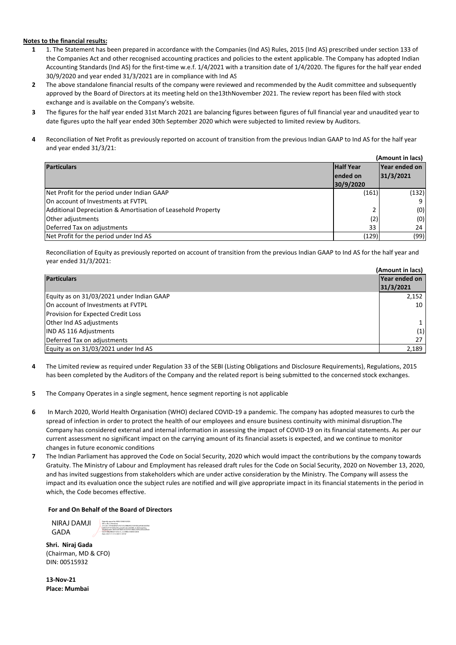#### **Notes to the financial results:**

- **1** 1. The Statement has been prepared in accordance with the Companies (Ind AS) Rules, 2015 (Ind AS) prescribed under section 133 of the Companies Act and other recognised accounting practices and policies to the extent applicable. The Company has adopted Indian Accounting Standards (Ind AS) for the first-time w.e.f. 1/4/2021 with a transition date of 1/4/2020. The figures for the half year ended 30/9/2020 and year ended 31/3/2021 are in compliance with Ind AS
- **2** The above standalone financial results of the company were reviewed and recommended by the Audit committee and subsequently approved by the Board of Directors at its meeting held on the13thNovember 2021. The review report has been filed with stock exchange and is available on the Company's website.
- **3** The figures for the half year ended 31st March 2021 are balancing figures between figures of full financial year and unaudited year to date figures upto the half year ended 30th September 2020 which were subjected to limited review by Auditors.
- **4** Reconciliation of Net Profit as previously reported on account of transition from the previous Indian GAAP to Ind AS for the half year and year ended 31/3/21:

| (Amount in lacs)                                             |           |               |
|--------------------------------------------------------------|-----------|---------------|
| <b>Half Year</b><br><b>Particulars</b>                       |           | Year ended on |
|                                                              | lended on | 31/3/2021     |
|                                                              | 30/9/2020 |               |
| Net Profit for the period under Indian GAAP                  | (161)     | (132)         |
| On account of Investments at FVTPL                           |           |               |
| Additional Depreciation & Amortisation of Leasehold Property |           | (0)           |
| Other adjustments                                            | (2)       | (0)           |
| Deferred Tax on adjustments                                  | 33        | 24            |
| Net Profit for the period under Ind AS                       | (129)     | (99)          |

Reconciliation of Equity as previously reported on account of transition from the previous Indian GAAP to Ind AS for the half year and year ended 31/3/2021:

| (Amount in lacs)                          |           |
|-------------------------------------------|-----------|
| Year ended on<br><b>Particulars</b>       |           |
|                                           | 31/3/2021 |
| Equity as on 31/03/2021 under Indian GAAP | 2,152     |
| On account of Investments at FVTPL        | 10        |
| <b>Provision for Expected Credit Loss</b> |           |
| Other Ind AS adjustments                  |           |
| <b>IND AS 116 Adjustments</b>             | (1)       |
| Deferred Tax on adjustments               | 27        |
| Equity as on 31/03/2021 under Ind AS      | 2,189     |

- **4** The Limited review as required under Regulation 33 of the SEBI (Listing Obligations and Disclosure Requirements), Regulations, 2015 has been completed by the Auditors of the Company and the related report is being submitted to the concerned stock exchanges.
- **5** The Company Operates in a single segment, hence segment reporting is not applicable
- **6** In March 2020, World Health Organisation (WHO) declared COVID-19 a pandemic. The company has adopted measures to curb the spread of infection in order to protect the health of our employees and ensure business continuity with minimal disruption.The Company has considered external and internal information in assessing the impact of COVID-19 on its financial statements. As per our current assessment no significant impact on the carrying amount of its financial assets is expected, and we continue to monitor changes in future economic conditions
- **7** The Indian Parliament has approved the Code on Social Security, 2020 which would impact the contributions by the company towards Gratuity. The Ministry of Labour and Employment has released draft rules for the Code on Social Security, 2020 on November 13, 2020, and has invited suggestions from stakeholders which are under active consideration by the Ministry. The Company will assess the impact and its evaluation once the subject rules are notified and will give appropriate impact in its financial statements in the period in which, the Code becomes effective.

#### **For and On Behalf of the Board of Directors**

NIRAJ DAMJI GADA Digitally signed by NIRAJ DAMJI GADA DN: c=IN, o=Personal, 2.5.4.20=19746b85d7e7b7c55c3f88d9521039382a493d0d2d78d bdf479cf7181449e458, postalCode=400080, st=Maharashtra, serialNumber=dfc9cd67d6dcc6c547957efb0cc509ece00ae28e2e 0c621498c98f2d17e35c7c, cn=NIRAJ DAMJI GADA Date: 2021.11.13 12:38:15 +05'30'

**Shri. Niraj Gada** (Chairman, MD & CFO) DIN: 00515932

**13-Nov-21 Place: Mumbai**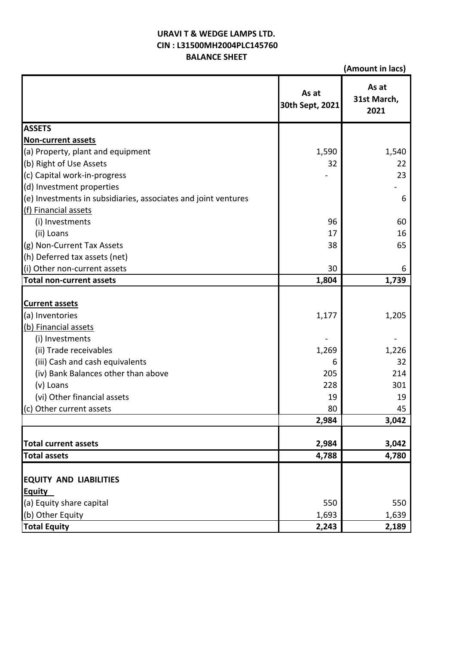# **URAVI T & WEDGE LAMPS LTD. BALANCE SHEET CIN : L31500MH2004PLC145760**

**(Amount in lacs)**

|                                                                | As at<br>30th Sept, 2021 | As at<br>31st March,<br>2021 |
|----------------------------------------------------------------|--------------------------|------------------------------|
| <b>ASSETS</b>                                                  |                          |                              |
| <b>Non-current assets</b>                                      |                          |                              |
| (a) Property, plant and equipment                              | 1,590                    | 1,540                        |
| (b) Right of Use Assets                                        | 32                       | 22                           |
| (c) Capital work-in-progress                                   |                          | 23                           |
| (d) Investment properties                                      |                          |                              |
| (e) Investments in subsidiaries, associates and joint ventures |                          | 6                            |
| (f) Financial assets                                           |                          |                              |
| (i) Investments                                                | 96                       | 60                           |
| (ii) Loans                                                     | 17                       | 16                           |
| (g) Non-Current Tax Assets                                     | 38                       | 65                           |
| (h) Deferred tax assets (net)                                  |                          |                              |
| (i) Other non-current assets                                   | 30                       | 6                            |
| <b>Total non-current assets</b>                                | 1,804                    | 1,739                        |
| <b>Current assets</b><br>(a) Inventories                       | 1,177                    | 1,205                        |
| (b) Financial assets                                           |                          |                              |
| (i) Investments                                                |                          |                              |
| (ii) Trade receivables                                         | 1,269                    | 1,226                        |
| (iii) Cash and cash equivalents                                | 6                        | 32                           |
| (iv) Bank Balances other than above                            | 205                      | 214                          |
| (v) Loans                                                      | 228                      | 301                          |
| (vi) Other financial assets                                    | 19                       | 19                           |
| (c) Other current assets                                       | 80                       | 45                           |
|                                                                | 2,984                    | 3,042                        |
|                                                                |                          |                              |
| <b>Total current assets</b>                                    | 2,984                    | 3,042                        |
| <b>Total assets</b>                                            | 4,788                    | 4,780                        |
| <b>EQUITY AND LIABILITIES</b><br><b>Equity</b>                 |                          |                              |
| (a) Equity share capital                                       | 550                      | 550                          |
| (b) Other Equity                                               | 1,693                    | 1,639                        |
| <b>Total Equity</b>                                            | 2,243                    | 2,189                        |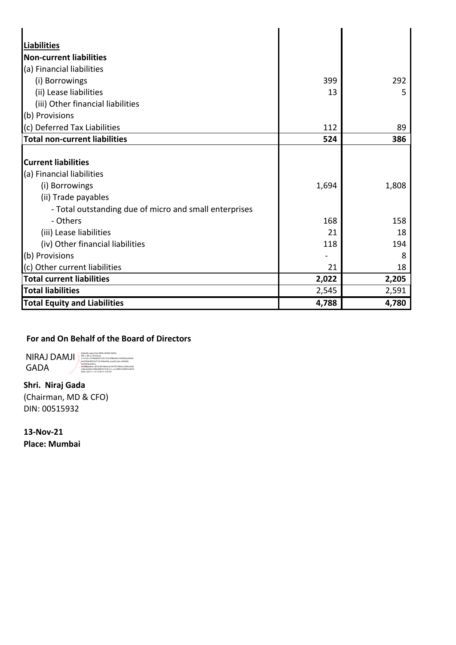| <b>Liabilities</b>                                     |       |       |
|--------------------------------------------------------|-------|-------|
| <b>Non-current liabilities</b>                         |       |       |
| (a) Financial liabilities                              |       |       |
| (i) Borrowings                                         | 399   | 292   |
| (ii) Lease liabilities                                 | 13    | 5     |
| (iii) Other financial liabilities                      |       |       |
| (b) Provisions                                         |       |       |
| (c) Deferred Tax Liabilities                           | 112   | 89    |
| <b>Total non-current liabilities</b>                   | 524   | 386   |
|                                                        |       |       |
| <b>Current liabilities</b>                             |       |       |
| (a) Financial liabilities                              |       |       |
| (i) Borrowings                                         | 1,694 | 1,808 |
| (ii) Trade payables                                    |       |       |
| - Total outstanding due of micro and small enterprises |       |       |
| - Others                                               | 168   | 158   |
| (iii) Lease liabilities                                | 21    | 18    |
| (iv) Other financial liabilities                       | 118   | 194   |
| (b) Provisions                                         |       | 8     |
| (c) Other current liabilities                          | 21    | 18    |
| <b>Total current liabilities</b>                       | 2,022 | 2,205 |
| <b>Total liabilities</b>                               | 2,545 | 2,591 |
| <b>Total Equity and Liabilities</b>                    | 4,788 | 4,780 |

# **For and On Behalf of the Board of Directors**

NIRAJ DAMJI GADA

Digitully signed by NIRAJ DAMJI GADA<br>Dit. c-I-N, o-Personal,<br>25.4.20-19746853707b7555:18869521099382a493d0<br>42d78dbdf479cf7181449e458, postalCode=400080,<br>signalNatimber=dfc9cd67d6dcc6c547957efb0cc509ece00a<br>ezikalNatimber=df

**Shri. Niraj Gada** (Chairman, MD & CFO) DIN: 00515932

**13-Nov-21 Place: Mumbai**